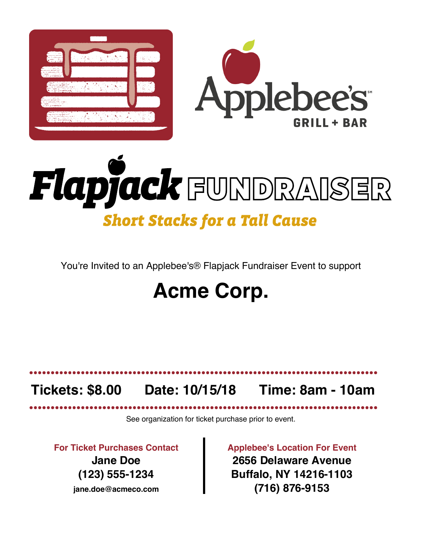

# Flapjack FUNDRAISER **Short Stacks for a Tall Cause**

You're Invited to an Applebee's® Flapjack Fundraiser Event to support

## **Acme Corp.**

## **Tickets: \$8.00 Date: 10/15/18 Time: 8am - 10am**

See organization for ticket purchase prior to event.

**For Ticket Purchases Contact Jane Doe (123) 555-1234 jane.doe@acmeco.com**

**Applebee's Location For Event 2656 Delaware Avenue Buffalo, NY 14216-1103 (716) 876-9153**